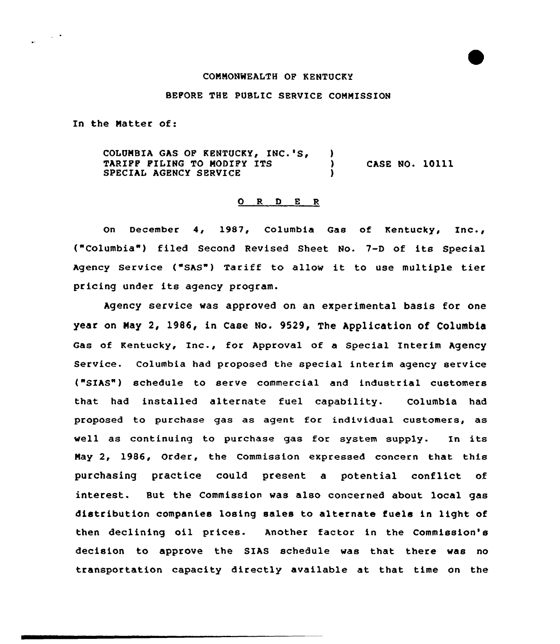## CONNONWEALTH OF KENTUCKY

## BEPORE THE PUBLIC SERVICE CONNISSION

In the Natter of:

COLUMBIA GAS OF KENTUCKY, INC.'S,  $\lambda$ TARIPP PILING TO MODIPY ITS  $\rangle$ <br>SPECIAL AGENCY SERVICE CASE NO. 10111 SPECIAL AGENCY SERVICE

## $O$  R D E R

On December 4, 1987, Columbia Gas of Kentucky, Inc., ("Columbia") filed Second Revised Sheet No. 7-D of its Special Agency service ("sAs") Tariff to allow it to use multiple tier pricing under its agency program.

Agency service was approved on an experimental basis for one year on Nay 2, 1986, in Case No. 9529, The Application of Columbia Gas of Kentucky, Inc., for Approval of <sup>a</sup> Special Interim Agency Service. Columbia had proposed the special interim agency service ("SIAS") schedule to serve commercial and industrial customers that had installed alternate fuel capability. Columbia had proposed to purchase gas as agent for individual customers, as well as continuing to purchase gas for system supply. In its Nay 2, 1986, Order, the Commission expressed concern that this purchasing practice could present a potential conflict of interest. But the Commission was also concerned about local gas distribution companies losing sales to alternate fuels in light of then declining oil prices. Another factor in the Commission's decision to approve the SIAS schedule was that there was no transportation capacity directly available at that time on the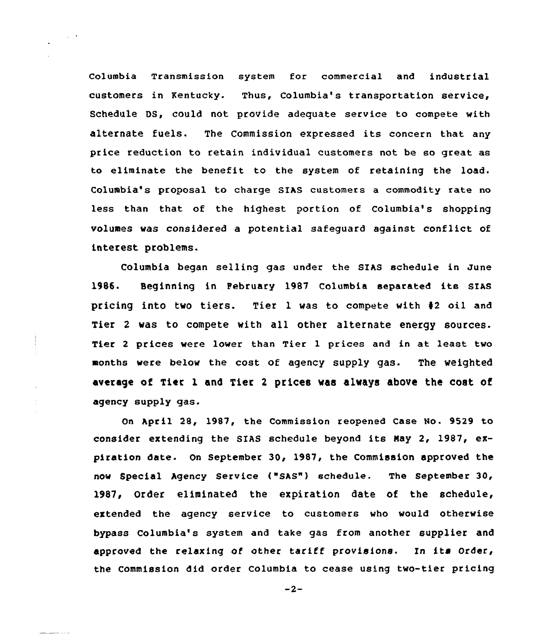Columbia Transmission system for commercial and industrial customers in Kentucky. Thus, Columbia's transportation service, Schedule DS, could not provide adequate service to compete with alternate fuels. The Commission expressed its concern that any price reduction to retain individual customers not be so great as to eliminate the benefit to the system of retaining the load. Columbia's proposal to charge SIAS customers a commodity rate no less than that of the highest portion of Columbia's shopping volumes vas considered a potential safeguard against conflict of interest problems.

 $\Delta \sim 0$ 

 $\bar{z}$ 

بالمناسب

Columbia began selling gas under the SIAs schedule in June 1986. Beginning in Pebruary 1987 Columbia separated its SIAS pricing into two tiers. Tier 1 was to compete vith <sup>42</sup> oil and Tier <sup>2</sup> was to compete with all other alternate energy sources. Tier <sup>2</sup> prices were lower than Tier 1 prices and in at least tvo months were below the cost of agency supply gas. The weighted average of Tier l and Tier <sup>2</sup> prices was always above the cost of agency supply gas.

On April 28, 1987, the Commission reopened Case No. 9529 to consider extending the SIAS schedule beyond its Nay 2, 1987, expiration date- On September 30, 1987, the Commission approved the nOv Special Agency Service ("SAS"} schedule. The September 30, 1987, Order eliminated the expiration date of the schedule, extended the agency service to customers vho would otherwise bypass Columbia's system and take gas from another supplier and approved the relaxing of other tariff provisions. In its Order, the Commission did order Columbia to cease using two-tier pricing

 $-2-$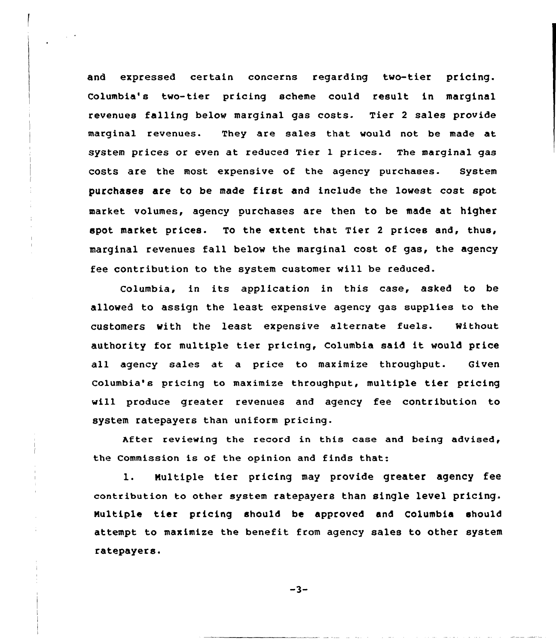and expressed certain concerns regarding two-tier pricing. Columbia's two-tier pricing scheme could result in marginal revenues falling below marginal gas costs. Tier <sup>2</sup> sales provide marginal revenues. They are sales that would not be made at system prices or even at reduced Tier 1 prices. The marginal gas costs are the most expensive of the agency purchases. System purchases are to be made first and include the lowest cost spot market volumes, agency purchases are then to be made at higher spot market prices. To the extent that Tier <sup>2</sup> prices and, thus, marginal revenues fall below the marginal cost of gas, the agency fee contribution to the system customer will be reduced.

Columbia, in its application in this case, asked to be allowed to assign the least expensive agency gas supplies to the customers with the least expensive alternate fuels. without authority for multiple tier pricing, Columbia said it would price all agency sales at a price to maximize throughput. Given Columbia's pricing to maximize throughput, multiple tier pricing will produce greater revenues and agency fee contribution to system ratepayers than uniform pricing.

After reviewing the record in this case and being advised, the Commission is of the opinion and finds that:

1. Multiple tier pricing may provide greater agency fee contribution to other system ratepayers than single level pricing. Nultiple tier pricing should be approved and Columbia should attempt to maximize the benefit from agency sales to other system ratepayers.

$$
-3-
$$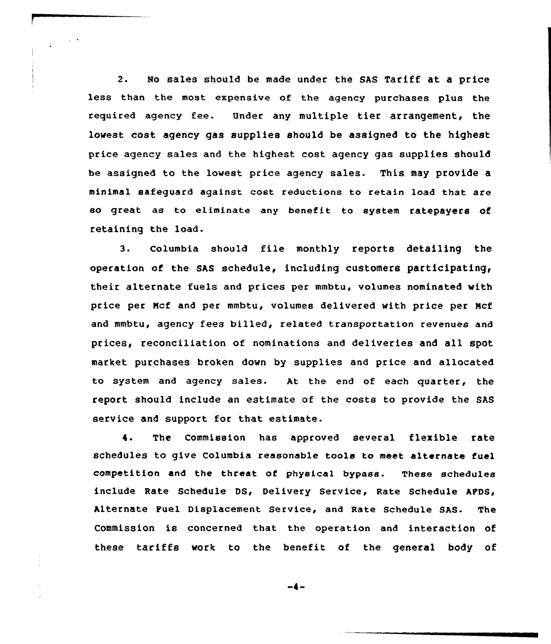2. No sales should be made under the SAS Tariff at a price less than the most expensive of the agency purchases plus the required agency fee. Under any multiple tier arrangement, the lowest cost agency gas supplies should be assigned to the highest price agency sales and the highest cost agency gas supplies should be assigned to the lowest price agency sales. This may provide a minimal safeguard against cost reductions to retain load that are so great as to eliminate any benefit to system ratepayers Of retaining the load.

3. Columbia should file monthly reports detailing the operation of the SAS schedule, including customers participating, their alternate fuels and prices per mmbtu, volumes nominated with price per Ncf and per mmbtu, volumes delivered with price per Ncf and mmbtu, agency fees billed, related transportation revenues and prices, reconciliation of nominations and deliveries and all spot market purchases broken down by supplies and price and allocated to system and agency sales. At the end of each quarter, the report should include an estimate of the costs to provide the SAS service and support for that estimate.

4. The Commission has approved several flexible rate schedules to give Columbia reasonable tools to meet alternate fuel competition and the threat of physical bypass. These schedules include Rate Schedule DS, Delivery Service, Rate Schedule APDS, Alternate Fuel Displacement Service, and Rate Schedule SAS- The Commission is concerned that the operation and interaction of these tariffs work to the benefit of the general body of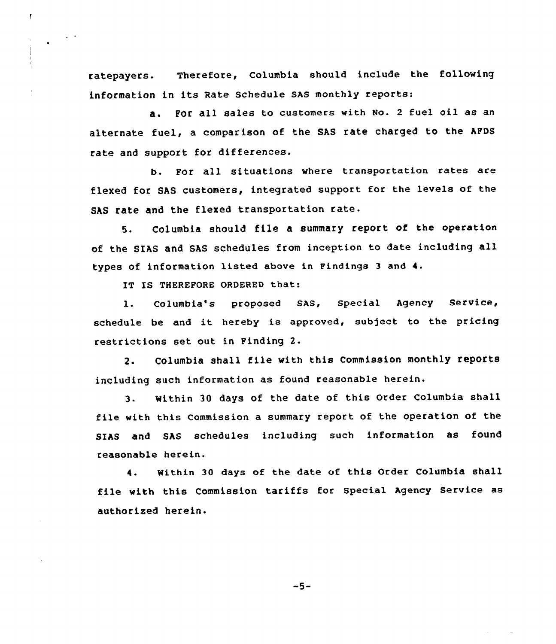ratepayers. Therefore, Columbia should include the following information in its Rate schedule sAs monthly reports:

a. Por all sales to customers with No. <sup>2</sup> fuel oil as an alternate fuel, a comparison of the SAs rate charged to the AFDs rate and support for differences.

b. Por all situations where transportation rates are flexed for SAS customers, integrated support for the levels of the SAS rate and the flexed transportation rate.

5. Columbia should file <sup>a</sup> summary report of the operation of the SIAS and SAS schedules from inception to date including all types of information listed above in Findings 3 and 4.

IT IS THEREPORE ORDERED that:

Ē

1. Columbia's proposed SAS, Special Agency Service, schedule be and it hereby is approved, subject to the pricing restrictions set out in Finding 2.

2. Columbia shall file with this Commission monthly reports including such information as found reasonable herein.

3. Within 30 days of the date of this Order Columbia shall file with this Commission a summary report of the operation of the SIAS and SAS schedules including such information as found reasonable herein.

4. Within 30 days of the date of this Order Columbia shall file with this Commission tariffs for Special Agency Service as authorized herein.

 $-5-$